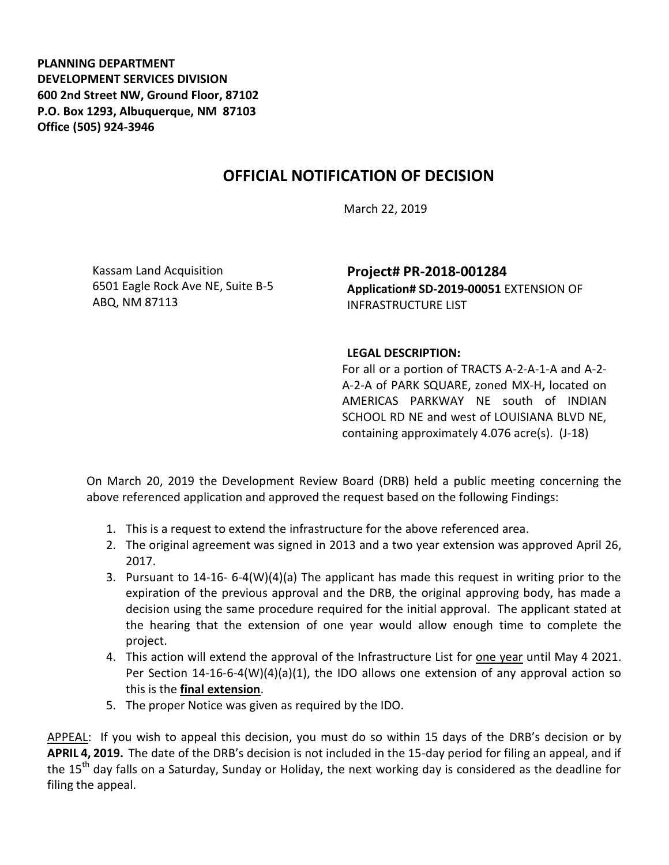**PLANNING DEPARTMENT DEVELOPMENT SERVICES DIVISION 600 2nd Street NW, Ground Floor, 87102 P.O. Box 1293, Albuquerque, NM 87103 Office (505) 924-3946** 

## **OFFICIAL NOTIFICATION OF DECISION**

March 22, 2019

Kassam Land Acquisition 6501 Eagle Rock Ave NE, Suite B-5 ABQ, NM 87113

**Project# PR-2018-001284 Application# SD-2019-00051** EXTENSION OF INFRASTRUCTURE LIST

## **LEGAL DESCRIPTION:**

For all or a portion of TRACTS A-2-A-1-A and A-2- A-2-A of PARK SQUARE, zoned MX-H**,** located on AMERICAS PARKWAY NE south of INDIAN SCHOOL RD NE and west of LOUISIANA BLVD NE, containing approximately 4.076 acre(s). (J-18)

On March 20, 2019 the Development Review Board (DRB) held a public meeting concerning the above referenced application and approved the request based on the following Findings:

- 1. This is a request to extend the infrastructure for the above referenced area.
- 2. The original agreement was signed in 2013 and a two year extension was approved April 26, 2017.
- 3. Pursuant to 14-16- 6-4(W)(4)(a) The applicant has made this request in writing prior to the expiration of the previous approval and the DRB, the original approving body, has made a decision using the same procedure required for the initial approval. The applicant stated at the hearing that the extension of one year would allow enough time to complete the project.
- 4. This action will extend the approval of the Infrastructure List for one year until May 4 2021. Per Section 14-16-6-4(W)(4)(a)(1), the IDO allows one extension of any approval action so this is the **final extension**.
- 5. The proper Notice was given as required by the IDO.

APPEAL: If you wish to appeal this decision, you must do so within 15 days of the DRB's decision or by **APRIL 4, 2019.** The date of the DRB's decision is not included in the 15-day period for filing an appeal, and if the 15<sup>th</sup> day falls on a Saturday, Sunday or Holiday, the next working day is considered as the deadline for filing the appeal.